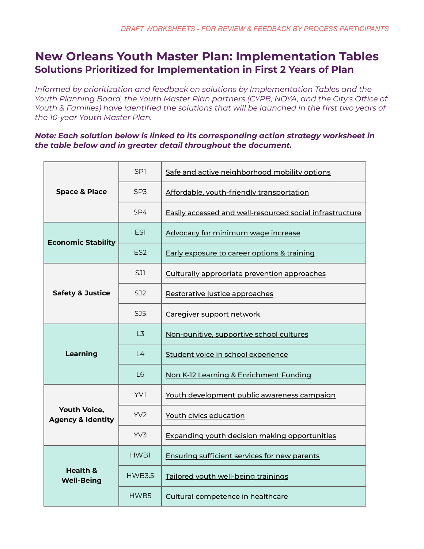# **New Orleans Youth Master Plan: Implementation Tables Solutions Prioritized for Implementation in First 2 Years of Plan**

*Informed by prioritization and feedback on solutions by Implementation Tables and the Youth Planning Board, the Youth Master Plan partners (CYPB, NOYA, and the City's Office of Youth & Families) have identified the solutions that will be launched in the first two years of the 10-year Youth Master Plan.*

#### *Note: Each solution below is linked to its corresponding action strategy worksheet in the table below and in greater detail throughout the document.*

| <b>Space &amp; Place</b>                            | SP <sub>1</sub> | Safe and active neighborhood mobility options            |
|-----------------------------------------------------|-----------------|----------------------------------------------------------|
|                                                     | SP <sub>3</sub> | Affordable, youth-friendly transportation                |
|                                                     | SP4             | Easily accessed and well-resourced social infrastructure |
| <b>Economic Stability</b>                           | ES <sub>1</sub> | Advocacy for minimum wage increase                       |
|                                                     | ES <sub>2</sub> | Early exposure to career options & training              |
| <b>Safety &amp; Justice</b>                         | SJ1             | Culturally appropriate prevention approaches             |
|                                                     | SJ2             | Restorative justice approaches                           |
|                                                     | SJ5             | Caregiver support network                                |
| Learning                                            | L <sub>3</sub>  | Non-punitive, supportive school cultures                 |
|                                                     | $\mathsf{L}4$   | Student voice in school experience                       |
|                                                     | L <sub>6</sub>  | Non K-12 Learning & Enrichment Funding                   |
| <b>Youth Voice,</b><br><b>Agency &amp; Identity</b> | YV1             | Youth development public awareness campaign              |
|                                                     | YV2             | Youth civics education                                   |
|                                                     | YV3             | <b>Expanding youth decision making opportunities</b>     |
| <b>Health &amp;</b><br><b>Well-Being</b>            | HWB1            | <b>Ensuring sufficient services for new parents</b>      |
|                                                     | <b>HWB3.5</b>   | Tailored youth well-being trainings                      |
|                                                     | HWB5            | Cultural competence in healthcare                        |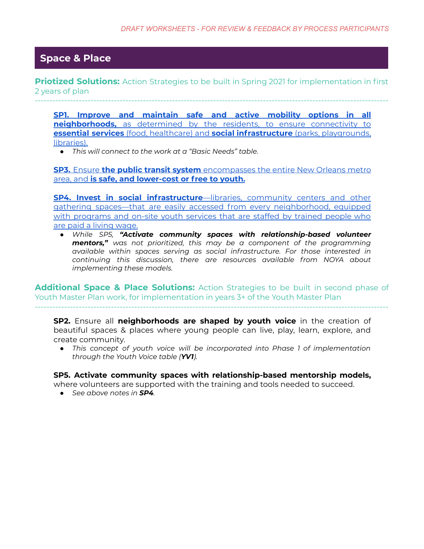#### **. Space & Place .**

**Priotized Solutions:** Action Strategies to be built in Spring 2021 for implementation in first 2 years of plan -------------------------------------------------------------------------------------------------------------------------

**SP1. Improve and [maintain](https://docs.google.com/document/d/1lwYsSoxtyDQ0ntV9F6AuX6bpfA1UuVCHQUtQI94Sljc/edit?usp=sharing) safe and active mobility options in all [neighborhoods,](https://docs.google.com/document/d/1lwYsSoxtyDQ0ntV9F6AuX6bpfA1UuVCHQUtQI94Sljc/edit?usp=sharing)** as determined by the residents, to ensure connectivity to **essential services** (food, healthcare) and **social [infrastructure](https://docs.google.com/document/d/1lwYsSoxtyDQ0ntV9F6AuX6bpfA1UuVCHQUtQI94Sljc/edit?usp=sharing)** (parks, playgrounds, [libraries\).](https://docs.google.com/document/d/1lwYsSoxtyDQ0ntV9F6AuX6bpfA1UuVCHQUtQI94Sljc/edit?usp=sharing)

*● This will connect to the work at a "Basic Needs" table.*

**SP3.** Ensure **the public transit system** [encompasses](https://docs.google.com/document/d/1eQ7VeriBZ939TVrYegoKhfvusmMyg--20Mum7Ru0XPg/edit?usp=sharing) the entire New Orleans metro area, and **is safe, and [lower-cost](https://docs.google.com/document/d/1eQ7VeriBZ939TVrYegoKhfvusmMyg--20Mum7Ru0XPg/edit?usp=sharing) or free to youth.**

**SP4. Invest in social [infrastructure](https://docs.google.com/document/d/1uoHPdFCOwLszDWbJhtLV7iLicIbonM2qQVFAUIJfBRA/edit?usp=sharing)**—libraries, community centers and other gathering spaces—that are easily accessed from every [neighborhood,](https://docs.google.com/document/d/1uoHPdFCOwLszDWbJhtLV7iLicIbonM2qQVFAUIJfBRA/edit?usp=sharing) equipped with [programs](https://docs.google.com/document/d/1uoHPdFCOwLszDWbJhtLV7iLicIbonM2qQVFAUIJfBRA/edit?usp=sharing) and on-site youth services that are staffed by trained people who are paid a living [wage.](https://docs.google.com/document/d/1uoHPdFCOwLszDWbJhtLV7iLicIbonM2qQVFAUIJfBRA/edit?usp=sharing)

*● While SP5, "Activate community spaces with relationship-based volunteer mentors," was not prioritized, this may be a component of the programming available within spaces serving as social infrastructure. For those interested in continuing this discussion, there are resources available from NOYA about implementing these models.*

**Additional Space & Place Solutions:** Action Strategies to be built in second phase of Youth Master Plan work, for implementation in years 3+ of the Youth Master Plan -------------------------------------------------------------------------------------------------------------------------

**SP2.** Ensure all **neighborhoods are shaped by youth voice** in the creation of beautiful spaces & places where young people can live, play, learn, explore, and create community.

*● This concept of youth voice will be incorporated into Phase 1 of implementation through the Youth Voice table (YV1).*

**SP5. Activate community spaces with relationship-based mentorship models,**

where volunteers are supported with the training and tools needed to succeed.

*● See above notes in SP4.*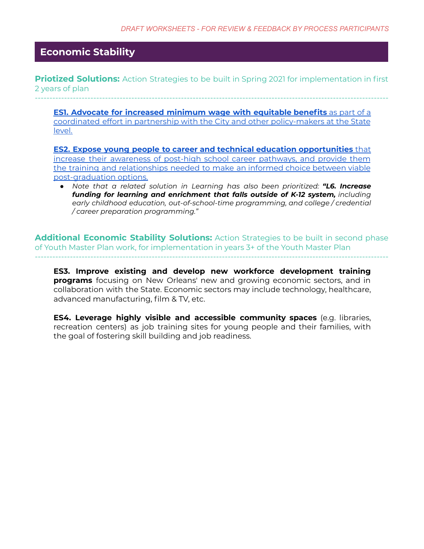# **. Economic Stability .**

**Priotized Solutions:** Action Strategies to be built in Spring 2021 for implementation in first 2 years of plan

-------------------------------------------------------------------------------------------------------------------------

**ES1. Advocate for increased [minimum](https://docs.google.com/document/d/1jrRAg1FkbrjKT-mmqD_EA26HrD4FWFZ-sfGTFq8NSYE/edit?usp=sharing) wage with equitable benefits** as part of a coordinated effort in partnership with the City and other [policy-makers](https://docs.google.com/document/d/1jrRAg1FkbrjKT-mmqD_EA26HrD4FWFZ-sfGTFq8NSYE/edit?usp=sharing) at the State [level.](https://docs.google.com/document/d/1jrRAg1FkbrjKT-mmqD_EA26HrD4FWFZ-sfGTFq8NSYE/edit?usp=sharing)

**ES2. Expose young people to career and technical education [opportunities](https://docs.google.com/document/d/1PfTwSF-1SMqpshYptkNLHVWT4bbbxR6MiWfTQu6-MDY/edit?usp=sharing)** that increase their [awareness](https://docs.google.com/document/d/1PfTwSF-1SMqpshYptkNLHVWT4bbbxR6MiWfTQu6-MDY/edit?usp=sharing) of post-high school career pathways, and provide them the training and [relationships](https://docs.google.com/document/d/1PfTwSF-1SMqpshYptkNLHVWT4bbbxR6MiWfTQu6-MDY/edit?usp=sharing) needed to make an informed choice between viable [post-graduation](https://docs.google.com/document/d/1PfTwSF-1SMqpshYptkNLHVWT4bbbxR6MiWfTQu6-MDY/edit?usp=sharing) options.

*● Note that a related solution in Learning has also been prioritized: "L6. Increase funding for learning and enrichment that falls outside of K-12 system, including early childhood education, out-of-school-time programming, and college / credential / career preparation programming."*

**Additional Economic Stability Solutions:** Action Strategies to be built in second phase of Youth Master Plan work, for implementation in years 3+ of the Youth Master Plan -------------------------------------------------------------------------------------------------------------------------

**ES3. Improve existing and develop new workforce development training programs** focusing on New Orleans' new and growing economic sectors, and in collaboration with the State. Economic sectors may include technology, healthcare, advanced manufacturing, film & TV, etc.

**ES4. Leverage highly visible and accessible community spaces** (e.g. libraries, recreation centers) as job training sites for young people and their families, with the goal of fostering skill building and job readiness.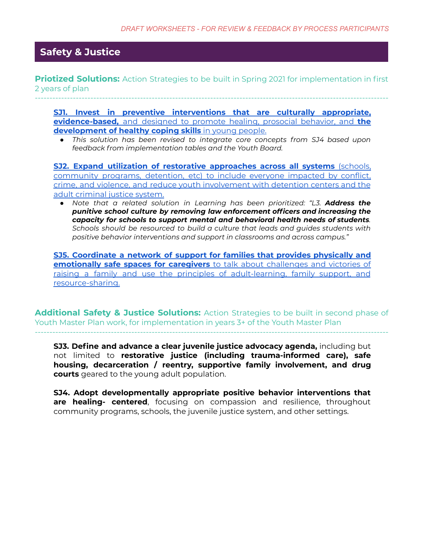### **. Safety & Justice .**

**Priotized Solutions:** Action Strategies to be built in Spring 2021 for implementation in first 2 years of plan

-------------------------------------------------------------------------------------------------------------------------

**SJ1. Invest in preventive [interventions](https://docs.google.com/document/d/1jWEZqtZbGnoUKhdJWvTpZQ7s1vbzpVq9enwhQQVQMfo/edit?usp=sharing) that are culturally appropriate, [evidence-based,](https://docs.google.com/document/d/1jWEZqtZbGnoUKhdJWvTpZQ7s1vbzpVq9enwhQQVQMfo/edit?usp=sharing)** and designed to promote healing, prosocial behavior, and **the [development](https://docs.google.com/document/d/1jWEZqtZbGnoUKhdJWvTpZQ7s1vbzpVq9enwhQQVQMfo/edit?usp=sharing) of healthy coping skills** in young people.

*● This solution has been revised to integrate core concepts from SJ4 based upon feedback from implementation tables and the Youth Board.*

**SJ2. Expand utilization of restorative [approaches](https://docs.google.com/document/d/1V0k7aBF0pnt8lJzNvuAXdCfUAa_XhCc7h_YUq6UtkhA/edit?usp=sharing) across all systems** (schools, [community](https://docs.google.com/document/d/1V0k7aBF0pnt8lJzNvuAXdCfUAa_XhCc7h_YUq6UtkhA/edit?usp=sharing) programs, detention, etc) to include everyone impacted by conflict, crime, and violence, and reduce youth [involvement](https://docs.google.com/document/d/1V0k7aBF0pnt8lJzNvuAXdCfUAa_XhCc7h_YUq6UtkhA/edit?usp=sharing) with detention centers and the adult [criminal](https://docs.google.com/document/d/1V0k7aBF0pnt8lJzNvuAXdCfUAa_XhCc7h_YUq6UtkhA/edit?usp=sharing) justice system.

*● Note that a related solution in Learning has been prioritized: "L3. Address the punitive school culture by removing law enforcement officers and increasing the capacity for schools to support mental and behavioral health needs of students. Schools should be resourced to build a culture that leads and guides students with positive behavior interventions and support in classrooms and across campus."*

**SJ5. [Coordinate](https://docs.google.com/document/d/1Ubue8Ew6vwvdVKb32zxxYOm9jjf09gVklQYjLM1pgjM/edit?usp=sharing) a network of support for families that provides physically and [emotionally](https://docs.google.com/document/d/1Ubue8Ew6vwvdVKb32zxxYOm9jjf09gVklQYjLM1pgjM/edit?usp=sharing) safe spaces for caregivers** to talk about challenges and victories of raising a family and use the principles of [adult-learning,](https://docs.google.com/document/d/1Ubue8Ew6vwvdVKb32zxxYOm9jjf09gVklQYjLM1pgjM/edit?usp=sharing) family support, and [resource-sharing.](https://docs.google.com/document/d/1Ubue8Ew6vwvdVKb32zxxYOm9jjf09gVklQYjLM1pgjM/edit?usp=sharing)

**Additional Safety & Justice Solutions:** Action Strategies to be built in second phase of Youth Master Plan work, for implementation in years 3+ of the Youth Master Plan -------------------------------------------------------------------------------------------------------------------------

**SJ3. Define and advance a clear juvenile justice advocacy agenda,** including but not limited to **restorative justice (including trauma-informed care), safe housing, decarceration / reentry, supportive family involvement, and drug courts** geared to the young adult population.

**SJ4. Adopt developmentally appropriate positive behavior interventions that are healing- centered**, focusing on compassion and resilience, throughout community programs, schools, the juvenile justice system, and other settings.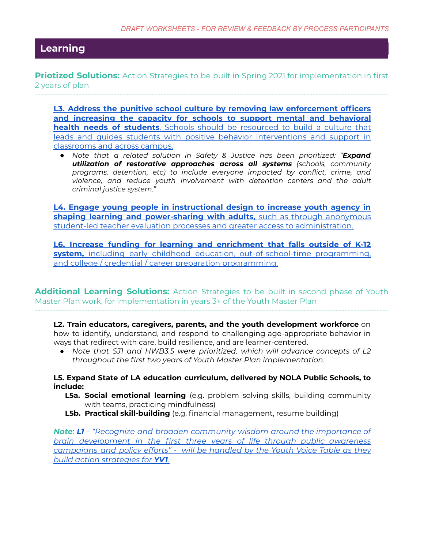# **. Learning .**

**Priotized Solutions:** Action Strategies to be built in Spring 2021 for implementation in first 2 years of plan

-------------------------------------------------------------------------------------------------------------------------

**L3. Address the punitive school culture by removing law [enforcement](https://docs.google.com/document/d/1kINsaxectkHdxQHphOPN2ihR6DpiqVzxDY853lrOAak/edit?usp=sharing) officers and increasing the capacity for schools to support mental and [behavioral](https://docs.google.com/document/d/1kINsaxectkHdxQHphOPN2ihR6DpiqVzxDY853lrOAak/edit?usp=sharing) health needs of students**. Schools should be [resourced](https://docs.google.com/document/d/1kINsaxectkHdxQHphOPN2ihR6DpiqVzxDY853lrOAak/edit?usp=sharing) to build a culture that leads and guides students with positive behavior [interventions](https://docs.google.com/document/d/1kINsaxectkHdxQHphOPN2ihR6DpiqVzxDY853lrOAak/edit?usp=sharing) and support in [classrooms](https://docs.google.com/document/d/1kINsaxectkHdxQHphOPN2ihR6DpiqVzxDY853lrOAak/edit?usp=sharing) and across campus.

*● Note that a related solution in Safety & Justice has been prioritized: "Expand utilization of restorative approaches across all systems (schools, community programs, detention, etc) to include everyone impacted by conflict, crime, and violence, and reduce youth involvement with detention centers and the adult criminal justice system."*

**L4. Engage young people in [instructional](https://docs.google.com/document/d/1YCIMG8ayhNQ7mK8cGBqhkAsiQRQ537r4vHHu_4Irs-U/edit?usp=sharing) design to increase youth agency in shaping learning and [power-sharing](https://docs.google.com/document/d/1YCIMG8ayhNQ7mK8cGBqhkAsiQRQ537r4vHHu_4Irs-U/edit?usp=sharing) with adults,** such as through anonymous student-led teacher evaluation processes and greater access to [administration.](https://docs.google.com/document/d/1YCIMG8ayhNQ7mK8cGBqhkAsiQRQ537r4vHHu_4Irs-U/edit?usp=sharing)

**L6. Increase funding for learning and [enrichment](https://docs.google.com/document/d/1NzKK4WbnRiIs_TNB7A28evaE8WJkeGBtJ9wMqrhJ-9o/edit?usp=sharing) that falls outside of K-12 system,** including early childhood education, [out-of-school-time](https://docs.google.com/document/d/1NzKK4WbnRiIs_TNB7A28evaE8WJkeGBtJ9wMqrhJ-9o/edit?usp=sharing) programming, and college / credential / career preparation [programming.](https://docs.google.com/document/d/1NzKK4WbnRiIs_TNB7A28evaE8WJkeGBtJ9wMqrhJ-9o/edit?usp=sharing)

**Additional Learning Solutions:** Action Strategies to be built in second phase of Youth Master Plan work, for implementation in years 3+ of the Youth Master Plan

-------------------------------------------------------------------------------------------------------------------------

**L2. Train educators, caregivers, parents, and the youth development workforce** on how to identify, understand, and respond to challenging age-appropriate behavior in ways that redirect with care, build resilience, and are learner-centered.

*● Note that SJ1 and HWB3.5 were prioritized, which will advance concepts of L2 throughout the first two years of Youth Master Plan implementation.*

**L5. Expand State of LA education curriculum, delivered by NOLA Public Schools, to include:**

- **L5a. Social emotional learning** (e.g. problem solving skills, building community with teams, practicing mindfulness)
- **L5b. Practical skill-building** (e.g. financial management, resume building)

*Note: L1 - "Recognize and broaden community wisdom around the [importance](https://docs.google.com/document/d/1xCWAWGuZm8-Ry3ddSjuiLfFe0ZUhbYTKRAkhcsGA0yU/edit?usp=sharing) of brain [development](https://docs.google.com/document/d/1xCWAWGuZm8-Ry3ddSjuiLfFe0ZUhbYTKRAkhcsGA0yU/edit?usp=sharing) in the first three years of life through public awareness [campaigns](https://docs.google.com/document/d/1xCWAWGuZm8-Ry3ddSjuiLfFe0ZUhbYTKRAkhcsGA0yU/edit?usp=sharing) and policy efforts" - will be handled by the Youth Voice Table as they build action [strategies](https://docs.google.com/document/d/1xCWAWGuZm8-Ry3ddSjuiLfFe0ZUhbYTKRAkhcsGA0yU/edit?usp=sharing) for YV1.*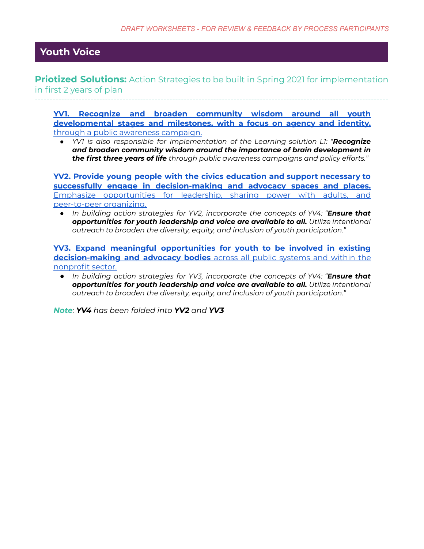# **. Youth Voice .**

**Priotized Solutions:** Action Strategies to be built in Spring 2021 for implementation in first 2 years of plan -------------------------------------------------------------------------------------------------------------------------

**YV1. Recognize and broaden [community](https://docs.google.com/document/d/1xCWAWGuZm8-Ry3ddSjuiLfFe0ZUhbYTKRAkhcsGA0yU/edit?usp=sharing) wisdom around all youth [developmental](https://docs.google.com/document/d/1xCWAWGuZm8-Ry3ddSjuiLfFe0ZUhbYTKRAkhcsGA0yU/edit?usp=sharing) stages and milestones, with a focus on agency and identity,** through a public awareness [campaign.](https://docs.google.com/document/d/1xCWAWGuZm8-Ry3ddSjuiLfFe0ZUhbYTKRAkhcsGA0yU/edit?usp=sharing)

*● YV1 is also responsible for implementation of the Learning solution L1: "Recognize and broaden community wisdom around the importance of brain development in the first three years of life through public awareness campaigns and policy efforts."*

**YV2. Provide young people with the civics [education](https://docs.google.com/document/d/1d2So9J4KQPxTW3v8qO-l8k0i-t4aenM6igjsffzaAUY/edit?usp=sharing) and support necessary to successfully engage in [decision-making](https://docs.google.com/document/d/1d2So9J4KQPxTW3v8qO-l8k0i-t4aenM6igjsffzaAUY/edit?usp=sharing) and advocacy spaces and places.** Emphasize [opportunities](https://docs.google.com/document/d/1d2So9J4KQPxTW3v8qO-l8k0i-t4aenM6igjsffzaAUY/edit?usp=sharing) for leadership, sharing power with adults, and [peer-to-peer](https://docs.google.com/document/d/1d2So9J4KQPxTW3v8qO-l8k0i-t4aenM6igjsffzaAUY/edit?usp=sharing) organizing.

*● In building action strategies for YV2, incorporate the concepts of YV4: "Ensure that opportunities for youth leadership and voice are available to all. Utilize intentional outreach to broaden the diversity, equity, and inclusion of youth participation."*

**YV3. Expand meaningful [opportunities](https://docs.google.com/document/d/1X_AY8QG0iMod1NwYh2fPB1CTwOoeQBYJt_lpe-umPnE/edit?usp=sharing) for youth to be involved in existing [decision-making](https://docs.google.com/document/d/1X_AY8QG0iMod1NwYh2fPB1CTwOoeQBYJt_lpe-umPnE/edit?usp=sharing) and advocacy bodies** across all public systems and within the [nonprofit](https://docs.google.com/document/d/1X_AY8QG0iMod1NwYh2fPB1CTwOoeQBYJt_lpe-umPnE/edit?usp=sharing) sector.

*● In building action strategies for YV3, incorporate the concepts of YV4: "Ensure that opportunities for youth leadership and voice are available to all. Utilize intentional outreach to broaden the diversity, equity, and inclusion of youth participation."*

*Note: YV4 has been folded into YV2 and YV3*